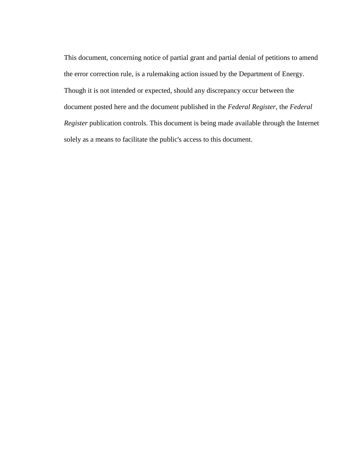This document, concerning notice of partial grant and partial denial of petitions to amend the error correction rule, is a rulemaking action issued by the Department of Energy. Though it is not intended or expected, should any discrepancy occur between the document posted here and the document published in the *Federal Register*, the *Federal Register* publication controls. This document is being made available through the Internet solely as a means to facilitate the public's access to this document.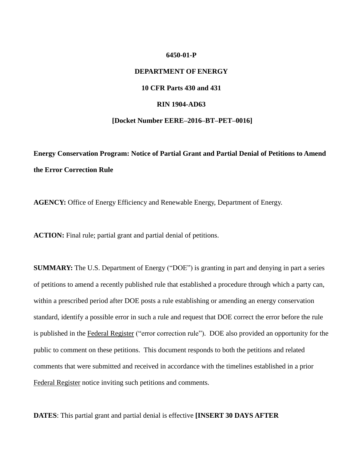#### **6450-01-P**

### **DEPARTMENT OF ENERGY**

# **10 CFR Parts 430 and 431**

#### **RIN 1904-AD63**

#### **[Docket Number EERE–2016–BT–PET–0016]**

 **Energy Conservation Program: Notice of Partial Grant and Partial Denial of Petitions to Amend the Error Correction Rule** 

**AGENCY:** Office of Energy Efficiency and Renewable Energy, Department of Energy.

**ACTION:** Final rule; partial grant and partial denial of petitions.

 **SUMMARY:** The U.S. Department of Energy ("DOE") is granting in part and denying in part a series of petitions to amend a recently published rule that established a procedure through which a party can, within a prescribed period after DOE posts a rule establishing or amending an energy conservation standard, identify a possible error in such a rule and request that DOE correct the error before the rule is published in the Federal Register ("error correction rule"). DOE also provided an opportunity for the public to comment on these petitions. This document responds to both the petitions and related comments that were submitted and received in accordance with the timelines established in a prior Federal Register notice inviting such petitions and comments.

 **DATES**: This partial grant and partial denial is effective **[INSERT 30 DAYS AFTER**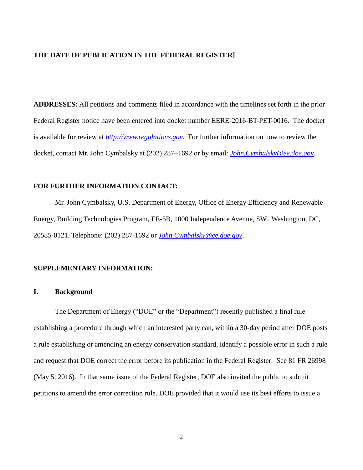#### **THE DATE OF PUBLICATION IN THE FEDERAL REGISTER]**.

 Federal Register notice have been entered into docket number EERE-2016-BT-PET-0016. The docket docket, contact Mr. John Cymbalsky at (202) 287–1692 or by email: *[John.Cymbalsky@ee.doe.gov](mailto:John.Cymbalsky@ee.doe.gov)*. **ADDRESSES:** All petitions and comments filed in accordance with the timelines set forth in the prior is available for review at *[http://www.regulations.gov](http://www.regulations.gov/)*. For further information on how to review the

# **FOR FURTHER INFORMATION CONTACT:**

 20585-0121. Telephone: (202) 287-1692 or *[John.Cymbalsky@ee.doe.gov](mailto:John.Cymbalsky@ee.doe.gov)*. Mr. John Cymbalsky, U.S. Department of Energy, Office of Energy Efficiency and Renewable Energy, Building Technologies Program, EE-5B, 1000 Independence Avenue, SW., Washington, DC,

#### **SUPPLEMENTARY INFORMATION:**

# **I. Background**

 establishing a procedure through which an interested party can, within a 30-day period after DOE posts and request that DOE correct the error before its publication in the Federal Register. See 81 FR 26998 petitions to amend the error correction rule. DOE provided that it would use its best efforts to issue a The Department of Energy ("DOE" or the "Department") recently published a final rule a rule establishing or amending an energy conservation standard, identify a possible error in such a rule (May 5, 2016). In that same issue of the Federal Register, DOE also invited the public to submit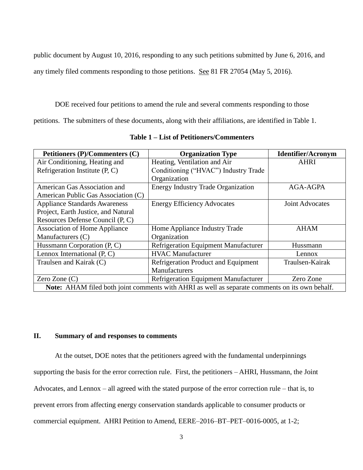public document by August 10, 2016, responding to any such petitions submitted by June 6, 2016, and

any timely filed comments responding to those petitions. See 81 FR 27054 (May 5, 2016).

DOE received four petitions to amend the rule and several comments responding to those

petitions. The submitters of these documents, along with their affiliations, are identified in Table 1.

| Petitioners (P)/Commenters (C)                                                                 | <b>Organization Type</b>                    | <b>Identifier/Acronym</b> |
|------------------------------------------------------------------------------------------------|---------------------------------------------|---------------------------|
| Air Conditioning, Heating and                                                                  | Heating, Ventilation and Air                | <b>AHRI</b>               |
| Refrigeration Institute (P, C)                                                                 | Conditioning ("HVAC") Industry Trade        |                           |
|                                                                                                | Organization                                |                           |
| American Gas Association and                                                                   | <b>Energy Industry Trade Organization</b>   | AGA-AGPA                  |
| American Public Gas Association (C)                                                            |                                             |                           |
| <b>Appliance Standards Awareness</b>                                                           | <b>Energy Efficiency Advocates</b>          | <b>Joint Advocates</b>    |
| Project, Earth Justice, and Natural                                                            |                                             |                           |
| Resources Defense Council (P, C)                                                               |                                             |                           |
| <b>Association of Home Appliance</b>                                                           | Home Appliance Industry Trade               | <b>AHAM</b>               |
| Manufacturers (C)                                                                              | Organization                                |                           |
| Hussmann Corporation (P, C)                                                                    | Refrigeration Equipment Manufacturer        | Hussmann                  |
| Lennox International $(P, C)$                                                                  | <b>HVAC Manufacturer</b>                    | Lennox                    |
| Traulsen and Kairak (C)                                                                        | <b>Refrigeration Product and Equipment</b>  | Traulsen-Kairak           |
|                                                                                                | <b>Manufacturers</b>                        |                           |
| Zero Zone $(C)$                                                                                | <b>Refrigeration Equipment Manufacturer</b> | Zero Zone                 |
| Note: AHAM filed both joint comments with AHRI as well as separate comments on its own behalf. |                                             |                           |

**Table 1 – List of Petitioners/Commenters** 

### **II. Summary of and responses to comments**

 Advocates, and Lennox – all agreed with the stated purpose of the error correction rule – that is, to commercial equipment. AHRI Petition to Amend, EERE–2016–BT–PET–0016-0005, at 1-2; At the outset, DOE notes that the petitioners agreed with the fundamental underpinnings supporting the basis for the error correction rule. First, the petitioners – AHRI, Hussmann, the Joint prevent errors from affecting energy conservation standards applicable to consumer products or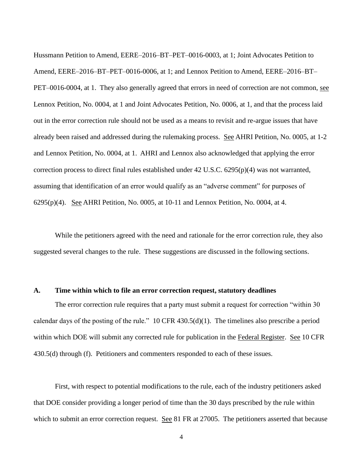Hussmann Petition to Amend, EERE–2016–BT–PET–0016-0003, at 1; Joint Advocates Petition to Lennox Petition, No. 0004, at 1 and Joint Advocates Petition, No. 0006, at 1, and that the process laid already been raised and addressed during the rulemaking process. See AHRI Petition, No. 0005, at 1-2 and Lennox Petition, No. 0004, at 1. AHRI and Lennox also acknowledged that applying the error  $6295(p)(4)$ . See AHRI Petition, No. 0005, at 10-11 and Lennox Petition, No. 0004, at 4. Amend, EERE–2016–BT–PET–0016-0006, at 1; and Lennox Petition to Amend, EERE–2016–BT– PET–0016-0004, at 1. They also generally agreed that errors in need of correction are not common, see out in the error correction rule should not be used as a means to revisit and re-argue issues that have correction process to direct final rules established under 42 U.S.C. 6295(p)(4) was not warranted, assuming that identification of an error would qualify as an "adverse comment" for purposes of

 suggested several changes to the rule. These suggestions are discussed in the following sections. While the petitioners agreed with the need and rationale for the error correction rule, they also

### **A. Time within which to file an error correction request, statutory deadlines**

 The error correction rule requires that a party must submit a request for correction "within 30 calendar days of the posting of the rule." 10 CFR 430.5(d)(1). The timelines also prescribe a period within which DOE will submit any corrected rule for publication in the Federal Register. See 10 CFR 430.5(d) through (f). Petitioners and commenters responded to each of these issues.

which to submit an error correction request. See 81 FR at 27005. The petitioners asserted that because First, with respect to potential modifications to the rule, each of the industry petitioners asked that DOE consider providing a longer period of time than the 30 days prescribed by the rule within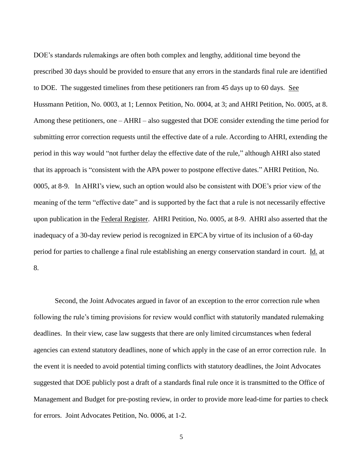DOE's standards rulemakings are often both complex and lengthy, additional time beyond the Hussmann Petition, No. 0003, at 1; Lennox Petition, No. 0004, at 3; and AHRI Petition, No. 0005, at 8. Among these petitioners, one – AHRI – also suggested that DOE consider extending the time period for submitting error correction requests until the effective date of a rule. According to AHRI, extending the 0005, at 8-9. In AHRI's view, such an option would also be consistent with DOE's prior view of the meaning of the term "effective date" and is supported by the fact that a rule is not necessarily effective period for parties to challenge a final rule establishing an energy conservation standard in court. Id. at prescribed 30 days should be provided to ensure that any errors in the standards final rule are identified to DOE. The suggested timelines from these petitioners ran from 45 days up to 60 days. See period in this way would "not further delay the effective date of the rule," although AHRI also stated that its approach is "consistent with the APA power to postpone effective dates." AHRI Petition, No. upon publication in the Federal Register. AHRI Petition, No. 0005, at 8-9. AHRI also asserted that the inadequacy of a 30-day review period is recognized in EPCA by virtue of its inclusion of a 60-day 8.

 following the rule's timing provisions for review would conflict with statutorily mandated rulemaking for errors. Joint Advocates Petition, No. 0006, at 1-2. Second, the Joint Advocates argued in favor of an exception to the error correction rule when deadlines. In their view, case law suggests that there are only limited circumstances when federal agencies can extend statutory deadlines, none of which apply in the case of an error correction rule. In the event it is needed to avoid potential timing conflicts with statutory deadlines, the Joint Advocates suggested that DOE publicly post a draft of a standards final rule once it is transmitted to the Office of Management and Budget for pre-posting review, in order to provide more lead-time for parties to check

5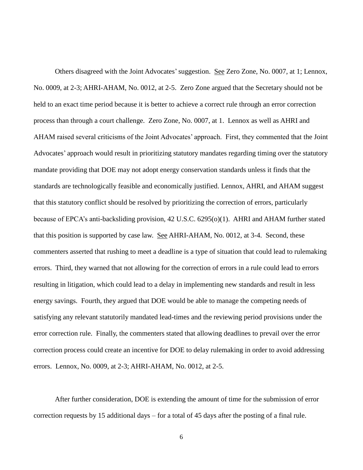Others disagreed with the Joint Advocates' suggestion. See Zero Zone, No. 0007, at 1; Lennox, process than through a court challenge. Zero Zone, No. 0007, at 1. Lennox as well as AHRI and Advocates' approach would result in prioritizing statutory mandates regarding timing over the statutory error correction rule. Finally, the commenters stated that allowing deadlines to prevail over the error errors. Lennox, No. 0009, at 2-3; AHRI-AHAM, No. 0012, at 2-5. No. 0009, at 2-3; AHRI-AHAM, No. 0012, at 2-5. Zero Zone argued that the Secretary should not be held to an exact time period because it is better to achieve a correct rule through an error correction AHAM raised several criticisms of the Joint Advocates' approach. First, they commented that the Joint mandate providing that DOE may not adopt energy conservation standards unless it finds that the standards are technologically feasible and economically justified. Lennox, AHRI, and AHAM suggest that this statutory conflict should be resolved by prioritizing the correction of errors, particularly because of EPCA's anti-backsliding provision, 42 U.S.C. 6295(o)(1). AHRI and AHAM further stated that this position is supported by case law. See AHRI-AHAM, No. 0012, at 3-4. Second, these commenters asserted that rushing to meet a deadline is a type of situation that could lead to rulemaking errors. Third, they warned that not allowing for the correction of errors in a rule could lead to errors resulting in litigation, which could lead to a delay in implementing new standards and result in less energy savings. Fourth, they argued that DOE would be able to manage the competing needs of satisfying any relevant statutorily mandated lead-times and the reviewing period provisions under the correction process could create an incentive for DOE to delay rulemaking in order to avoid addressing

After further consideration, DOE is extending the amount of time for the submission of error correction requests by 15 additional days – for a total of 45 days after the posting of a final rule.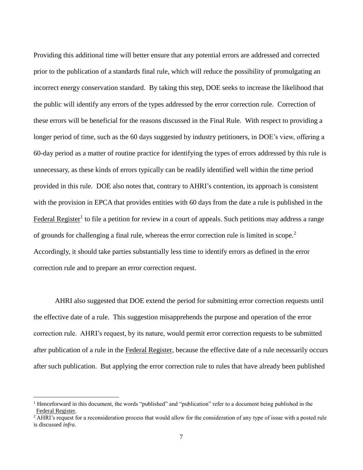prior to the publication of a standards final rule, which will reduce the possibility of promulgating an incorrect energy conservation standard. By taking this step, DOE seeks to increase the likelihood that 60-day period as a matter of routine practice for identifying the types of errors addressed by this rule is Federal Register<sup>1</sup> to file a petition for review in a court of appeals. Such petitions may address a range Providing this additional time will better ensure that any potential errors are addressed and corrected the public will identify any errors of the types addressed by the error correction rule. Correction of these errors will be beneficial for the reasons discussed in the Final Rule. With respect to providing a longer period of time, such as the 60 days suggested by industry petitioners, in DOE's view, offering a unnecessary, as these kinds of errors typically can be readily identified well within the time period provided in this rule. DOE also notes that, contrary to AHRI's contention, its approach is consistent with the provision in EPCA that provides entities with 60 days from the date a rule is published in the of grounds for challenging a final rule, whereas the error correction rule is limited in scope.<sup>2</sup> Accordingly, it should take parties substantially less time to identify errors as defined in the error correction rule and to prepare an error correction request.

after publication of a rule in the Federal Register, because the effective date of a rule necessarily occurs after such publication. But applying the error correction rule to rules that have already been published AHRI also suggested that DOE extend the period for submitting error correction requests until the effective date of a rule. This suggestion misapprehends the purpose and operation of the error correction rule. AHRI's request, by its nature, would permit error correction requests to be submitted

 $\overline{a}$ 

<sup>&</sup>lt;sup>1</sup> Henceforward in this document, the words "published" and "publication" refer to a document being published in the

Federal Register.<br><sup>2</sup> AHRI's request for a reconsideration process that would allow for the consideration of any type of issue with a posted rule is discussed *infra*.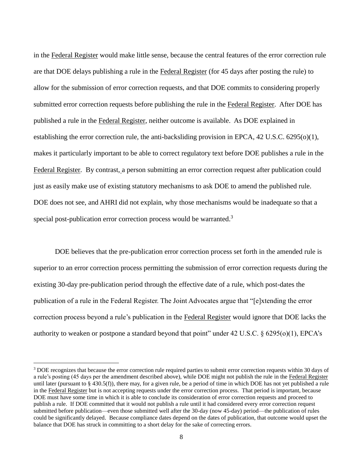are that DOE delays publishing a rule in the Federal Register (for 45 days after posting the rule) to submitted error correction requests before publishing the rule in the Federal Register. After DOE has published a rule in the Federal Register, neither outcome is available. As DOE explained in establishing the error correction rule, the anti-backsliding provision in EPCA, 42 U.S.C. 6295(o)(1), just as easily make use of existing statutory mechanisms to ask DOE to amend the published rule. in the Federal Register would make little sense, because the central features of the error correction rule allow for the submission of error correction requests, and that DOE commits to considering properly makes it particularly important to be able to correct regulatory text before DOE publishes a rule in the Federal Register. By contrast, a person submitting an error correction request after publication could DOE does not see, and AHRI did not explain, why those mechanisms would be inadequate so that a special post-publication error correction process would be warranted.<sup>3</sup>

DOE believes that the pre-publication error correction process set forth in the amended rule is superior to an error correction process permitting the submission of error correction requests during the existing 30-day pre-publication period through the effective date of a rule, which post-dates the publication of a rule in the Federal Register. The Joint Advocates argue that "[e]xtending the error correction process beyond a rule's publication in the Federal Register would ignore that DOE lacks the authority to weaken or postpone a standard beyond that point" under 42 U.S.C.  $\S$  6295(o)(1), EPCA's

 $\overline{a}$ 

<sup>&</sup>lt;sup>3</sup> DOE recognizes that because the error correction rule required parties to submit error correction requests within 30 days of a rule's posting (45 days per the amendment described above), while DOE might not publish the rule in the Federal Register until later (pursuant to § 430.5(f)), there may, for a given rule, be a period of time in which DOE has not yet published a rule in the Federal Register but is not accepting requests under the error correction process. That period is important, because DOE must have some time in which it is able to conclude its consideration of error correction requests and proceed to publish a rule. If DOE committed that it would not publish a rule until it had considered every error correction request submitted before publication—even those submitted well after the 30-day (now 45-day) period—the publication of rules could be significantly delayed. Because compliance dates depend on the dates of publication, that outcome would upset the balance that DOE has struck in committing to a short delay for the sake of correcting errors.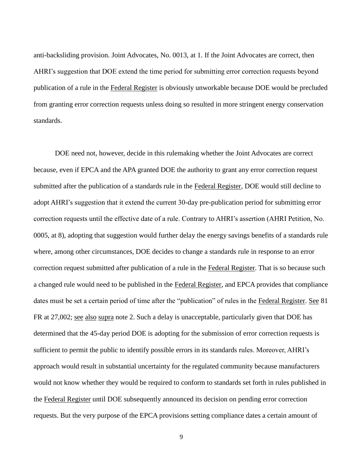anti-backsliding provision. Joint Advocates, No. 0013, at 1. If the Joint Advocates are correct, then AHRI's suggestion that DOE extend the time period for submitting error correction requests beyond publication of a rule in the Federal Register is obviously unworkable because DOE would be precluded from granting error correction requests unless doing so resulted in more stringent energy conservation standards.

 because, even if EPCA and the APA granted DOE the authority to grant any error correction request correction request submitted after publication of a rule in the Federal Register. That is so because such FR at 27,002; see also supra note 2. Such a delay is unacceptable, particularly given that DOE has DOE need not, however, decide in this rulemaking whether the Joint Advocates are correct submitted after the publication of a standards rule in the Federal Register, DOE would still decline to adopt AHRI's suggestion that it extend the current 30-day pre-publication period for submitting error correction requests until the effective date of a rule. Contrary to AHRI's assertion (AHRI Petition, No. 0005, at 8), adopting that suggestion would further delay the energy savings benefits of a standards rule where, among other circumstances, DOE decides to change a standards rule in response to an error a changed rule would need to be published in the Federal Register, and EPCA provides that compliance dates must be set a certain period of time after the "publication" of rules in the Federal Register. See 81 determined that the 45-day period DOE is adopting for the submission of error correction requests is sufficient to permit the public to identify possible errors in its standards rules. Moreover, AHRI's approach would result in substantial uncertainty for the regulated community because manufacturers would not know whether they would be required to conform to standards set forth in rules published in the Federal Register until DOE subsequently announced its decision on pending error correction requests. But the very purpose of the EPCA provisions setting compliance dates a certain amount of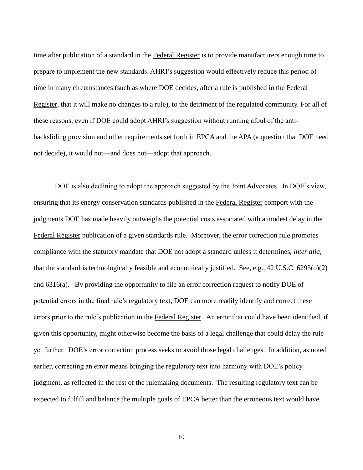time after publication of a standard in the Federal Register is to provide manufacturers enough time to prepare to implement the new standards. AHRI's suggestion would effectively reduce this period of time in many circumstances (such as where DOE decides, after a rule is published in the Federal Register, that it will make no changes to a rule), to the detriment of the regulated community. For all of these reasons, even if DOE could adopt AHRI's suggestion without running afoul of the antibacksliding provision and other requirements set forth in EPCA and the APA (a question that DOE need not decide), it would not—and does not—adopt that approach.

Federal Register publication of a given standards rule. Moreover, the error correction rule promotes and 6316(a). By providing the opportunity to file an error correction request to notify DOE of errors prior to the rule's publication in the Federal Register. An error that could have been identified, if DOE is also declining to adopt the approach suggested by the Joint Advocates. In DOE's view, ensuring that its energy conservation standards published in the Federal Register comport with the judgments DOE has made heavily outweighs the potential costs associated with a modest delay in the compliance with the statutory mandate that DOE not adopt a standard unless it determines, *inter alia*, that the standard is technologically feasible and economically justified. See, e.g., 42 U.S.C. 6295(o)(2) potential errors in the final rule's regulatory text, DOE can more readily identify and correct these given this opportunity, might otherwise become the basis of a legal challenge that could delay the rule yet further. DOE's error correction process seeks to avoid those legal challenges. In addition, as noted earlier, correcting an error means bringing the regulatory text into harmony with DOE's policy judgment, as reflected in the rest of the rulemaking documents. The resulting regulatory text can be expected to fulfill and balance the multiple goals of EPCA better than the erroneous text would have.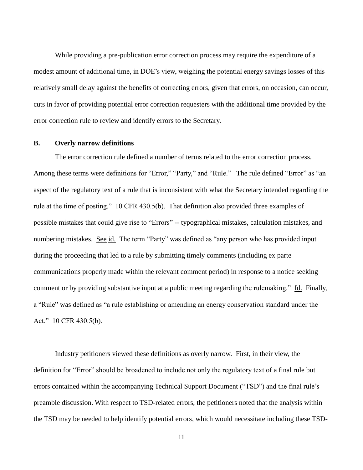modest amount of additional time, in DOE's view, weighing the potential energy savings losses of this relatively small delay against the benefits of correcting errors, given that errors, on occasion, can occur, While providing a pre-publication error correction process may require the expenditure of a cuts in favor of providing potential error correction requesters with the additional time provided by the error correction rule to review and identify errors to the Secretary.

#### **B. Overly narrow definitions**

 Among these terms were definitions for "Error," "Party," and "Rule." The rule defined "Error" as "an rule at the time of posting." 10 CFR 430.5(b). That definition also provided three examples of numbering mistakes. See id. The term "Party" was defined as "any person who has provided input comment or by providing substantive input at a public meeting regarding the rulemaking." Id. Finally, The error correction rule defined a number of terms related to the error correction process. aspect of the regulatory text of a rule that is inconsistent with what the Secretary intended regarding the possible mistakes that could give rise to "Errors" -- typographical mistakes, calculation mistakes, and during the proceeding that led to a rule by submitting timely comments (including ex parte communications properly made within the relevant comment period) in response to a notice seeking a "Rule" was defined as "a rule establishing or amending an energy conservation standard under the Act." 10 CFR 430.5(b).

 Industry petitioners viewed these definitions as overly narrow. First, in their view, the definition for "Error" should be broadened to include not only the regulatory text of a final rule but errors contained within the accompanying Technical Support Document ("TSD") and the final rule's preamble discussion. With respect to TSD-related errors, the petitioners noted that the analysis within the TSD may be needed to help identify potential errors, which would necessitate including these TSD-

11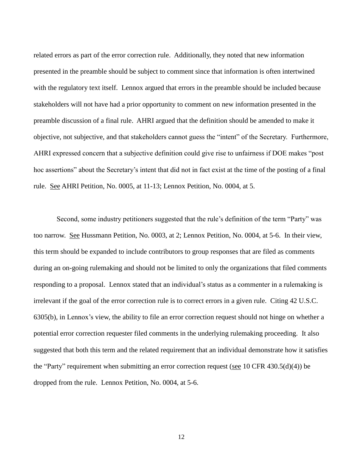related errors as part of the error correction rule. Additionally, they noted that new information with the regulatory text itself. Lennox argued that errors in the preamble should be included because stakeholders will not have had a prior opportunity to comment on new information presented in the preamble discussion of a final rule. AHRI argued that the definition should be amended to make it rule. See AHRI Petition, No. 0005, at 11-13; Lennox Petition, No. 0004, at 5. presented in the preamble should be subject to comment since that information is often intertwined objective, not subjective, and that stakeholders cannot guess the "intent" of the Secretary. Furthermore, AHRI expressed concern that a subjective definition could give rise to unfairness if DOE makes "post hoc assertions" about the Secretary's intent that did not in fact exist at the time of the posting of a final

too narrow. See Hussmann Petition, No. 0003, at 2; Lennox Petition, No. 0004, at 5-6. In their view, responding to a proposal. Lennox stated that an individual's status as a commenter in a rulemaking is irrelevant if the goal of the error correction rule is to correct errors in a given rule. Citing 42 U.S.C. 6305(b), in Lennox's view, the ability to file an error correction request should not hinge on whether a potential error correction requester filed comments in the underlying rulemaking proceeding. It also dropped from the rule. Lennox Petition, No. 0004, at 5-6. Second, some industry petitioners suggested that the rule's definition of the term "Party" was this term should be expanded to include contributors to group responses that are filed as comments during an on-going rulemaking and should not be limited to only the organizations that filed comments suggested that both this term and the related requirement that an individual demonstrate how it satisfies the "Party" requirement when submitting an error correction request (see 10 CFR 430.5(d)(4)) be

12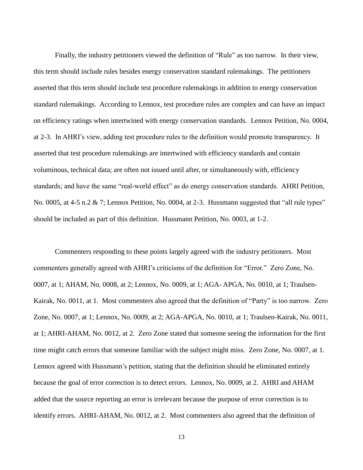Finally, the industry petitioners viewed the definition of "Rule" as too narrow. In their view, standard rulemakings. According to Lennox, test procedure rules are complex and can have an impact on efficiency ratings when intertwined with energy conservation standards. Lennox Petition, No. 0004, at 2-3. In AHRI's view, adding test procedure rules to the definition would promote transparency. It No. 0005, at 4-5 n.2 & 7; Lennox Petition, No. 0004, at 2-3. Hussmann suggested that "all rule types" should be included as part of this definition. Hussmann Petition, No. 0003, at 1-2. this term should include rules besides energy conservation standard rulemakings. The petitioners asserted that this term should include test procedure rulemakings in addition to energy conservation asserted that test procedure rulemakings are intertwined with efficiency standards and contain voluminous, technical data; are often not issued until after, or simultaneously with, efficiency standards; and have the same "real-world effect" as do energy conservation standards. AHRI Petition,

 commenters generally agreed with AHRI's criticisms of the definition for "Error." Zero Zone, No. 0007, at 1; AHAM, No. 0008, at 2; Lennox, No. 0009, at 1; AGA- APGA, No. 0010, at 1; Traulsen- Kairak, No. 0011, at 1. Most commenters also agreed that the definition of "Party" is too narrow. Zero Zone, No. 0007, at 1; Lennox, No. 0009, at 2; AGA-APGA, No. 0010, at 1; Traulsen-Kairak, No. 0011, at 1; AHRI-AHAM, No. 0012, at 2. Zero Zone stated that someone seeing the information for the first time might catch errors that someone familiar with the subject might miss. Zero Zone, No. 0007, at 1. because the goal of error correction is to detect errors. Lennox, No. 0009, at 2. AHRI and AHAM identify errors. AHRI-AHAM, No. 0012, at 2. Most commenters also agreed that the definition of Commenters responding to these points largely agreed with the industry petitioners. Most Lennox agreed with Hussmann's petition, stating that the definition should be eliminated entirely added that the source reporting an error is irrelevant because the purpose of error correction is to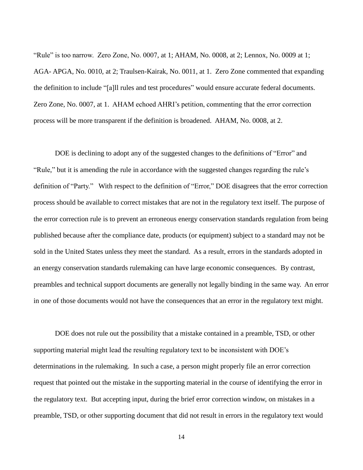"Rule" is too narrow. Zero Zone, No. 0007, at 1; AHAM, No. 0008, at 2; Lennox, No. 0009 at 1; AGA- APGA, No. 0010, at 2; Traulsen-Kairak, No. 0011, at 1. Zero Zone commented that expanding Zero Zone, No. 0007, at 1. AHAM echoed AHRI's petition, commenting that the error correction process will be more transparent if the definition is broadened. AHAM, No. 0008, at 2. the definition to include "[a]ll rules and test procedures" would ensure accurate federal documents.

 DOE is declining to adopt any of the suggested changes to the definitions of "Error" and definition of "Party." With respect to the definition of "Error," DOE disagrees that the error correction process should be available to correct mistakes that are not in the regulatory text itself. The purpose of the error correction rule is to prevent an erroneous energy conservation standards regulation from being "Rule," but it is amending the rule in accordance with the suggested changes regarding the rule's published because after the compliance date, products (or equipment) subject to a standard may not be sold in the United States unless they meet the standard. As a result, errors in the standards adopted in an energy conservation standards rulemaking can have large economic consequences. By contrast, preambles and technical support documents are generally not legally binding in the same way. An error in one of those documents would not have the consequences that an error in the regulatory text might.

 determinations in the rulemaking. In such a case, a person might properly file an error correction the regulatory text. But accepting input, during the brief error correction window, on mistakes in a DOE does not rule out the possibility that a mistake contained in a preamble, TSD, or other supporting material might lead the resulting regulatory text to be inconsistent with DOE's request that pointed out the mistake in the supporting material in the course of identifying the error in preamble, TSD, or other supporting document that did not result in errors in the regulatory text would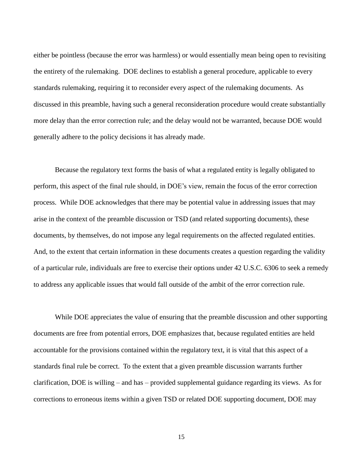either be pointless (because the error was harmless) or would essentially mean being open to revisiting more delay than the error correction rule; and the delay would not be warranted, because DOE would the entirety of the rulemaking. DOE declines to establish a general procedure, applicable to every standards rulemaking, requiring it to reconsider every aspect of the rulemaking documents. As discussed in this preamble, having such a general reconsideration procedure would create substantially generally adhere to the policy decisions it has already made.

 documents, by themselves, do not impose any legal requirements on the affected regulated entities. Because the regulatory text forms the basis of what a regulated entity is legally obligated to perform, this aspect of the final rule should, in DOE's view, remain the focus of the error correction process. While DOE acknowledges that there may be potential value in addressing issues that may arise in the context of the preamble discussion or TSD (and related supporting documents), these And, to the extent that certain information in these documents creates a question regarding the validity of a particular rule, individuals are free to exercise their options under 42 U.S.C. 6306 to seek a remedy to address any applicable issues that would fall outside of the ambit of the error correction rule.

 While DOE appreciates the value of ensuring that the preamble discussion and other supporting standards final rule be correct. To the extent that a given preamble discussion warrants further clarification, DOE is willing – and has – provided supplemental guidance regarding its views. As for documents are free from potential errors, DOE emphasizes that, because regulated entities are held accountable for the provisions contained within the regulatory text, it is vital that this aspect of a corrections to erroneous items within a given TSD or related DOE supporting document, DOE may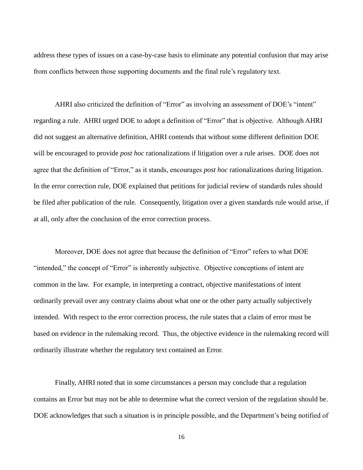address these types of issues on a case-by-case basis to eliminate any potential confusion that may arise from conflicts between those supporting documents and the final rule's regulatory text.

 regarding a rule. AHRI urged DOE to adopt a definition of "Error" that is objective. Although AHRI did not suggest an alternative definition, AHRI contends that without some different definition DOE will be encouraged to provide *post hoc* rationalizations if litigation over a rule arises. DOE does not at all, only after the conclusion of the error correction process. AHRI also criticized the definition of "Error" as involving an assessment of DOE's "intent" agree that the definition of "Error," as it stands, encourages *post hoc* rationalizations during litigation. In the error correction rule, DOE explained that petitions for judicial review of standards rules should be filed after publication of the rule. Consequently, litigation over a given standards rule would arise, if

 ordinarily prevail over any contrary claims about what one or the other party actually subjectively based on evidence in the rulemaking record. Thus, the objective evidence in the rulemaking record will Moreover, DOE does not agree that because the definition of "Error" refers to what DOE "intended," the concept of "Error" is inherently subjective. Objective conceptions of intent are common in the law. For example, in interpreting a contract, objective manifestations of intent intended. With respect to the error correction process, the rule states that a claim of error must be ordinarily illustrate whether the regulatory text contained an Error.

Finally, AHRI noted that in some circumstances a person may conclude that a regulation contains an Error but may not be able to determine what the correct version of the regulation should be. DOE acknowledges that such a situation is in principle possible, and the Department's being notified of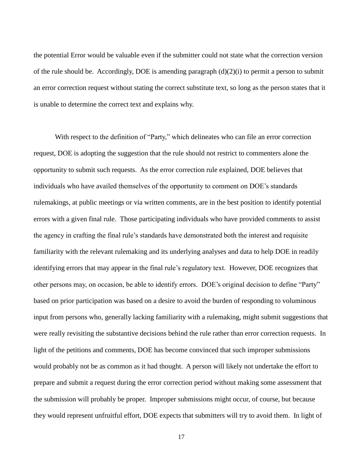is unable to determine the correct text and explains why. the potential Error would be valuable even if the submitter could not state what the correction version of the rule should be. Accordingly, DOE is amending paragraph (d)(2)(i) to permit a person to submit an error correction request without stating the correct substitute text, so long as the person states that it

 is unable to determine the correct text and explains why. With respect to the definition of "Party," which delineates who can file an error correction opportunity to submit such requests. As the error correction rule explained, DOE believes that request, DOE is adopting the suggestion that the rule should not restrict to commenters alone the individuals who have availed themselves of the opportunity to comment on DOE's standards rulemakings, at public meetings or via written comments, are in the best position to identify potential errors with a given final rule. Those participating individuals who have provided comments to assist the agency in crafting the final rule's standards have demonstrated both the interest and requisite familiarity with the relevant rulemaking and its underlying analyses and data to help DOE in readily identifying errors that may appear in the final rule's regulatory text. However, DOE recognizes that other persons may, on occasion, be able to identify errors. DOE's original decision to define "Party" based on prior participation was based on a desire to avoid the burden of responding to voluminous input from persons who, generally lacking familiarity with a rulemaking, might submit suggestions that were really revisiting the substantive decisions behind the rule rather than error correction requests. In light of the petitions and comments, DOE has become convinced that such improper submissions would probably not be as common as it had thought. A person will likely not undertake the effort to prepare and submit a request during the error correction period without making some assessment that the submission will probably be proper. Improper submissions might occur, of course, but because they would represent unfruitful effort, DOE expects that submitters will try to avoid them. In light of

17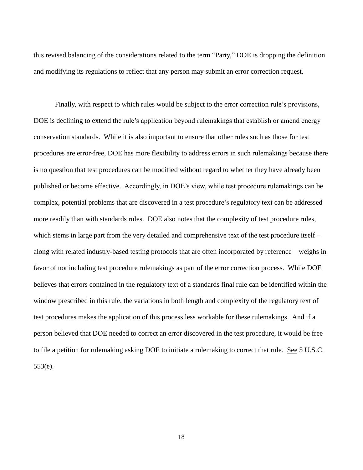this revised balancing of the considerations related to the term "Party," DOE is dropping the definition and modifying its regulations to reflect that any person may submit an error correction request. Finally, with respect to which rules would be subject to the error correction rule's provisions,

Finally, with respect to which rules would be subject to the error correction rule's provisions, conservation standards. While it is also important to ensure that other rules such as those for test procedures are error-free, DOE has more flexibility to address errors in such rulemakings because there is no question that test procedures can be modified without regard to whether they have already been more readily than with standards rules. DOE also notes that the complexity of test procedure rules, along with related industry-based testing protocols that are often incorporated by reference – weighs in window prescribed in this rule, the variations in both length and complexity of the regulatory text of test procedures makes the application of this process less workable for these rulemakings. And if a  $553(e)$ . DOE is declining to extend the rule's application beyond rulemakings that establish or amend energy published or become effective. Accordingly, in DOE's view, while test procedure rulemakings can be complex, potential problems that are discovered in a test procedure's regulatory text can be addressed which stems in large part from the very detailed and comprehensive text of the test procedure itself – favor of not including test procedure rulemakings as part of the error correction process. While DOE believes that errors contained in the regulatory text of a standards final rule can be identified within the person believed that DOE needed to correct an error discovered in the test procedure, it would be free to file a petition for rulemaking asking DOE to initiate a rulemaking to correct that rule. See 5 U.S.C. 553(e).<br>18<br>18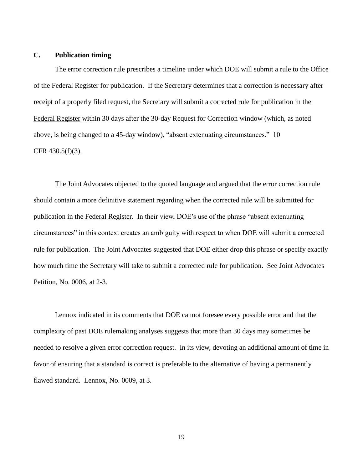#### **C. Publication timing**

 The error correction rule prescribes a timeline under which DOE will submit a rule to the Office of the Federal Register for publication. If the Secretary determines that a correction is necessary after above, is being changed to a 45-day window), "absent extenuating circumstances." 10 CFR 430.5(f)(3). receipt of a properly filed request, the Secretary will submit a corrected rule for publication in the Federal Register within 30 days after the 30-day Request for Correction window (which, as noted

 Petition, No. 0006, at 2-3. The Joint Advocates objected to the quoted language and argued that the error correction rule should contain a more definitive statement regarding when the corrected rule will be submitted for publication in the Federal Register. In their view, DOE's use of the phrase "absent extenuating circumstances" in this context creates an ambiguity with respect to when DOE will submit a corrected rule for publication. The Joint Advocates suggested that DOE either drop this phrase or specify exactly how much time the Secretary will take to submit a corrected rule for publication. See Joint Advocates

 complexity of past DOE rulemaking analyses suggests that more than 30 days may sometimes be favor of ensuring that a standard is correct is preferable to the alternative of having a permanently flawed standard. Lennox, No. 0009, at 3. Lennox indicated in its comments that DOE cannot foresee every possible error and that the needed to resolve a given error correction request. In its view, devoting an additional amount of time in

19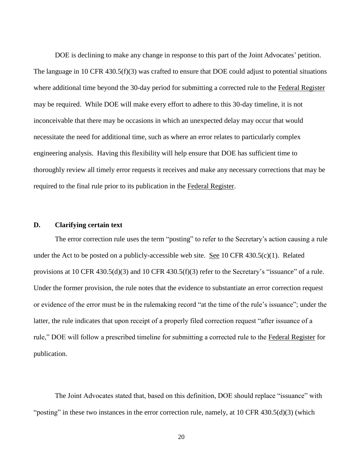DOE is declining to make any change in response to this part of the Joint Advocates' petition. thoroughly review all timely error requests it receives and make any necessary corrections that may be The language in 10 CFR 430.5(f)(3) was crafted to ensure that DOE could adjust to potential situations where additional time beyond the 30-day period for submitting a corrected rule to the Federal Register may be required. While DOE will make every effort to adhere to this 30-day timeline, it is not inconceivable that there may be occasions in which an unexpected delay may occur that would necessitate the need for additional time, such as where an error relates to particularly complex engineering analysis. Having this flexibility will help ensure that DOE has sufficient time to required to the final rule prior to its publication in the Federal Register.

# **D. Clarifying certain text**

 The error correction rule uses the term "posting" to refer to the Secretary's action causing a rule provisions at 10 CFR 430.5(d)(3) and 10 CFR 430.5(f)(3) refer to the Secretary's "issuance" of a rule. rule," DOE will follow a prescribed timeline for submitting a corrected rule to the Federal Register for under the Act to be posted on a publicly-accessible web site. See 10 CFR  $430.5(c)(1)$ . Related Under the former provision, the rule notes that the evidence to substantiate an error correction request or evidence of the error must be in the rulemaking record "at the time of the rule's issuance"; under the latter, the rule indicates that upon receipt of a properly filed correction request "after issuance of a publication.

"posting" in these two instances in the error correction rule, namely, at 10 CFR 430.5(d)(3) (which The Joint Advocates stated that, based on this definition, DOE should replace "issuance" with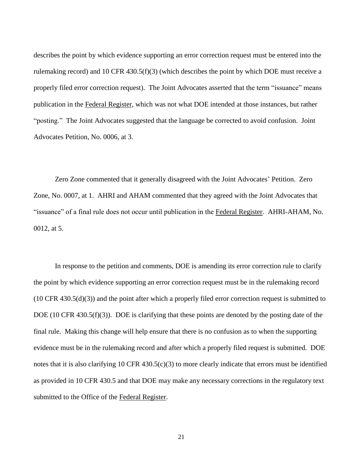describes the point by which evidence supporting an error correction request must be entered into the rulemaking record) and 10 CFR 430.5(f)(3) (which describes the point by which DOE must receive a properly filed error correction request). The Joint Advocates asserted that the term "issuance" means "posting." The Joint Advocates suggested that the language be corrected to avoid confusion. Joint Advocates Petition, No. 0006, at 3. publication in the Federal Register, which was not what DOE intended at those instances, but rather

 Zone, No. 0007, at 1. AHRI and AHAM commented that they agreed with the Joint Advocates that "issuance" of a final rule does not occur until publication in the Federal Register. AHRI-AHAM, No. 0012, at 5. Zero Zone commented that it generally disagreed with the Joint Advocates' Petition. Zero

 the point by which evidence supporting an error correction request must be in the rulemaking record (10 CFR 430.5(d)(3)) and the point after which a properly filed error correction request is submitted to as provided in 10 CFR 430.5 and that DOE may make any necessary corrections in the regulatory text In response to the petition and comments, DOE is amending its error correction rule to clarify DOE (10 CFR 430.5(f)(3)). DOE is clarifying that these points are denoted by the posting date of the final rule. Making this change will help ensure that there is no confusion as to when the supporting evidence must be in the rulemaking record and after which a properly filed request is submitted. DOE notes that it is also clarifying 10 CFR 430.5(c)(3) to more clearly indicate that errors must be identified submitted to the Office of the Federal Register.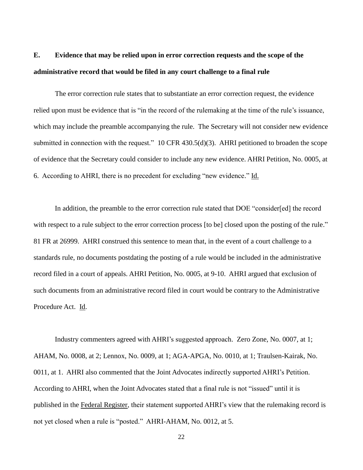# **E. Evidence that may be relied upon in error correction requests and the scope of the administrative record that would be filed in any court challenge to a final rule**

 The error correction rule states that to substantiate an error correction request, the evidence submitted in connection with the request." 10 CFR 430.5(d)(3). AHRI petitioned to broaden the scope 6. According to AHRI, there is no precedent for excluding "new evidence." Id. relied upon must be evidence that is "in the record of the rulemaking at the time of the rule's issuance, which may include the preamble accompanying the rule. The Secretary will not consider new evidence of evidence that the Secretary could consider to include any new evidence. AHRI Petition, No. 0005, at

 81 FR at 26999. AHRI construed this sentence to mean that, in the event of a court challenge to a Procedure Act. Id. In addition, the preamble to the error correction rule stated that DOE "consider[ed] the record with respect to a rule subject to the error correction process [to be] closed upon the posting of the rule." standards rule, no documents postdating the posting of a rule would be included in the administrative record filed in a court of appeals. AHRI Petition, No. 0005, at 9-10. AHRI argued that exclusion of such documents from an administrative record filed in court would be contrary to the Administrative

 Industry commenters agreed with AHRI's suggested approach. Zero Zone, No. 0007, at 1; AHAM, No. 0008, at 2; Lennox, No. 0009, at 1; AGA-APGA, No. 0010, at 1; Traulsen-Kairak, No. 0011, at 1. AHRI also commented that the Joint Advocates indirectly supported AHRI's Petition. According to AHRI, when the Joint Advocates stated that a final rule is not "issued" until it is published in the Federal Register, their statement supported AHRI's view that the rulemaking record is not yet closed when a rule is "posted." AHRI-AHAM, No. 0012, at 5.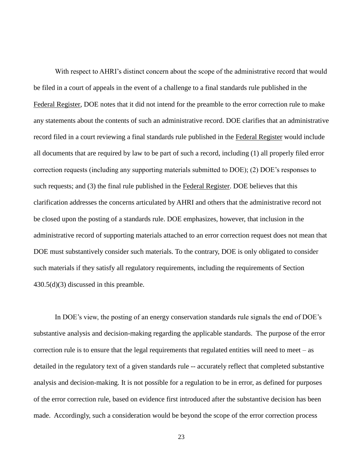With respect to AHRI's distinct concern about the scope of the administrative record that would all documents that are required by law to be part of such a record, including (1) all properly filed error clarification addresses the concerns articulated by AHRI and others that the administrative record not be filed in a court of appeals in the event of a challenge to a final standards rule published in the Federal Register, DOE notes that it did not intend for the preamble to the error correction rule to make any statements about the contents of such an administrative record. DOE clarifies that an administrative record filed in a court reviewing a final standards rule published in the Federal Register would include correction requests (including any supporting materials submitted to DOE); (2) DOE's responses to such requests; and (3) the final rule published in the Federal Register. DOE believes that this be closed upon the posting of a standards rule. DOE emphasizes, however, that inclusion in the administrative record of supporting materials attached to an error correction request does not mean that DOE must substantively consider such materials. To the contrary, DOE is only obligated to consider such materials if they satisfy all regulatory requirements, including the requirements of Section 430.5(d)(3) discussed in this preamble.

 substantive analysis and decision-making regarding the applicable standards. The purpose of the error detailed in the regulatory text of a given standards rule -- accurately reflect that completed substantive In DOE's view, the posting of an energy conservation standards rule signals the end of DOE's correction rule is to ensure that the legal requirements that regulated entities will need to meet – as analysis and decision-making. It is not possible for a regulation to be in error, as defined for purposes of the error correction rule, based on evidence first introduced after the substantive decision has been made. Accordingly, such a consideration would be beyond the scope of the error correction process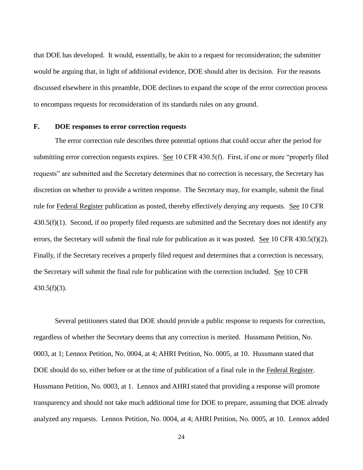that DOE has developed. It would, essentially, be akin to a request for reconsideration; the submitter to encompass requests for reconsideration of its standards rules on any ground. would be arguing that, in light of additional evidence, DOE should alter its decision. For the reasons discussed elsewhere in this preamble, DOE declines to expand the scope of the error correction process

#### **F. DOE responses to error correction requests**

rule for Federal Register publication as posted, thereby effectively denying any requests. See 10 CFR 430.5(f)(1). Second, if no properly filed requests are submitted and the Secretary does not identify any errors, the Secretary will submit the final rule for publication as it was posted. See 10 CFR 430.5(f)(2). Finally, if the Secretary receives a properly filed request and determines that a correction is necessary, the Secretary will submit the final rule for publication with the correction included. See 10 CFR The error correction rule describes three potential options that could occur after the period for submitting error correction requests expires. See 10 CFR 430.5(f). First, if one or more "properly filed requests" are submitted and the Secretary determines that no correction is necessary, the Secretary has discretion on whether to provide a written response. The Secretary may, for example, submit the final  $430.5(f)(3)$ .

 0003, at 1; Lennox Petition, No. 0004, at 4; AHRI Petition, No. 0005, at 10. Hussmann stated that Hussmann Petition, No. 0003, at 1. Lennox and AHRI stated that providing a response will promote analyzed any requests. Lennox Petition, No. 0004, at 4; AHRI Petition, No. 0005, at 10. Lennox added Several petitioners stated that DOE should provide a public response to requests for correction, regardless of whether the Secretary deems that any correction is merited. Hussmann Petition, No. DOE should do so, either before or at the time of publication of a final rule in the Federal Register. transparency and should not take much additional time for DOE to prepare, assuming that DOE already

24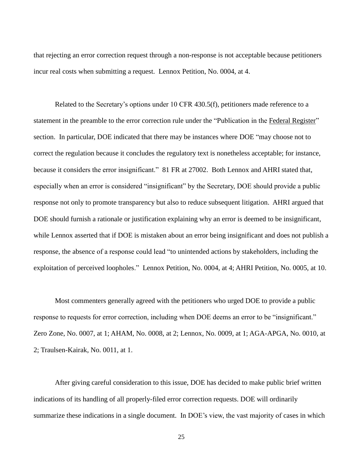incur real costs when submitting a request. Lennox Petition, No. 0004, at 4. that rejecting an error correction request through a non-response is not acceptable because petitioners

statement in the preamble to the error correction rule under the "Publication in the Federal Register" section. In particular, DOE indicated that there may be instances where DOE "may choose not to response not only to promote transparency but also to reduce subsequent litigation. AHRI argued that while Lennox asserted that if DOE is mistaken about an error being insignificant and does not publish a exploitation of perceived loopholes." Lennox Petition, No. 0004, at 4; AHRI Petition, No. 0005, at 10. Related to the Secretary's options under 10 CFR 430.5(f), petitioners made reference to a correct the regulation because it concludes the regulatory text is nonetheless acceptable; for instance, because it considers the error insignificant." 81 FR at 27002. Both Lennox and AHRI stated that, especially when an error is considered "insignificant" by the Secretary, DOE should provide a public DOE should furnish a rationale or justification explaining why an error is deemed to be insignificant, response, the absence of a response could lead "to unintended actions by stakeholders, including the

 Zero Zone, No. 0007, at 1; AHAM, No. 0008, at 2; Lennox, No. 0009, at 1; AGA-APGA, No. 0010, at 2; Traulsen-Kairak, No. 0011, at 1. Most commenters generally agreed with the petitioners who urged DOE to provide a public response to requests for error correction, including when DOE deems an error to be "insignificant."

 After giving careful consideration to this issue, DOE has decided to make public brief written indications of its handling of all properly-filed error correction requests. DOE will ordinarily summarize these indications in a single document. In DOE's view, the vast majority of cases in which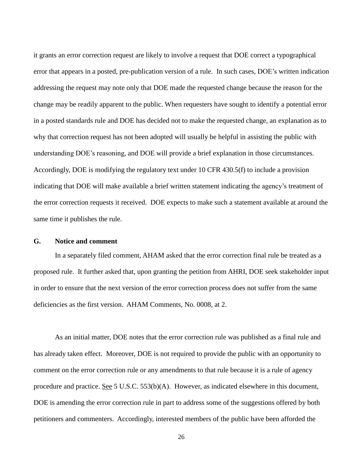it grants an error correction request are likely to involve a request that DOE correct a typographical addressing the request may note only that DOE made the requested change because the reason for the change may be readily apparent to the public. When requesters have sought to identify a potential error why that correction request has not been adopted will usually be helpful in assisting the public with understanding DOE's reasoning, and DOE will provide a brief explanation in those circumstances. Accordingly, DOE is modifying the regulatory text under 10 CFR 430.5(f) to include a provision same time it publishes the rule. error that appears in a posted, pre-publication version of a rule. In such cases, DOE's written indication in a posted standards rule and DOE has decided not to make the requested change, an explanation as to indicating that DOE will make available a brief written statement indicating the agency's treatment of the error correction requests it received. DOE expects to make such a statement available at around the

# **G. Notice and comment**

 proposed rule. It further asked that, upon granting the petition from AHRI, DOE seek stakeholder input deficiencies as the first version. AHAM Comments, No. 0008, at 2. In a separately filed comment, AHAM asked that the error correction final rule be treated as a in order to ensure that the next version of the error correction process does not suffer from the same

As an initial matter, DOE notes that the error correction rule was published as a final rule and has already taken effect. Moreover, DOE is not required to provide the public with an opportunity to comment on the error correction rule or any amendments to that rule because it is a rule of agency procedure and practice. See 5 U.S.C. 553(b)(A). However, as indicated elsewhere in this document, DOE is amending the error correction rule in part to address some of the suggestions offered by both petitioners and commenters. Accordingly, interested members of the public have been afforded the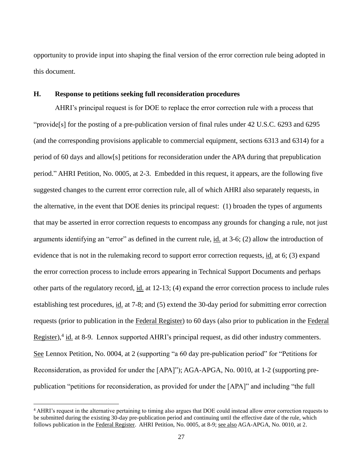this document. opportunity to provide input into shaping the final version of the error correction rule being adopted in

#### **H. Response to petitions seeking full reconsideration procedures**

 suggested changes to the current error correction rule, all of which AHRI also separately requests, in the alternative, in the event that DOE denies its principal request: (1) broaden the types of arguments arguments identifying an "error" as defined in the current rule, id. at 3-6; (2) allow the introduction of other parts of the regulatory record, id. at 12-13; (4) expand the error correction process to include rules establishing test procedures, id. at 7-8; and (5) extend the 30-day period for submitting error correction Register),<sup>4</sup> id. at 8-9. Lennox supported AHRI's principal request, as did other industry commenters. publication "petitions for reconsideration, as provided for under the [APA]" and including "the full AHRI's principal request is for DOE to replace the error correction rule with a process that "provide[s] for the posting of a pre-publication version of final rules under 42 U.S.C. 6293 and 6295 (and the corresponding provisions applicable to commercial equipment, sections 6313 and 6314) for a period of 60 days and allow[s] petitions for reconsideration under the APA during that prepublication period." AHRI Petition, No. 0005, at 2-3. Embedded in this request, it appears, are the following five that may be asserted in error correction requests to encompass any grounds for changing a rule, not just evidence that is not in the rulemaking record to support error correction requests, id. at 6; (3) expand the error correction process to include errors appearing in Technical Support Documents and perhaps requests (prior to publication in the Federal Register) to 60 days (also prior to publication in the Federal See Lennox Petition, No. 0004, at 2 (supporting "a 60 day pre-publication period" for "Petitions for Reconsideration, as provided for under the [APA]"); AGA-APGA, No. 0010, at 1-2 (supporting pre-

 $\overline{a}$ 

 4 AHRI's request in the alternative pertaining to timing also argues that DOE could instead allow error correction requests to be submitted during the existing 30-day pre-publication period and continuing until the effective date of the rule, which follows publication in the Federal Register. AHRI Petition, No. 0005, at 8-9; see also AGA-APGA, No. 0010, at 2.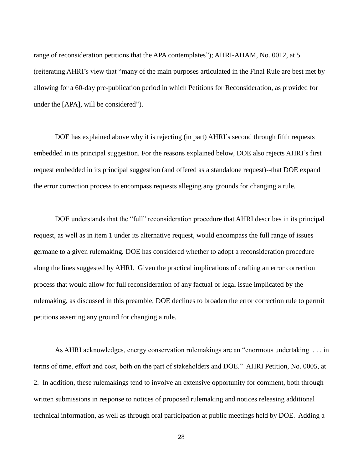under the [APA], will be considered"). range of reconsideration petitions that the APA contemplates"); AHRI-AHAM, No. 0012, at 5 (reiterating AHRI's view that "many of the main purposes articulated in the Final Rule are best met by allowing for a 60-day pre-publication period in which Petitions for Reconsideration, as provided for

 embedded in its principal suggestion. For the reasons explained below, DOE also rejects AHRI's first the error correction process to encompass requests alleging any grounds for changing a rule. DOE has explained above why it is rejecting (in part) AHRI's second through fifth requests request embedded in its principal suggestion (and offered as a standalone request)--that DOE expand

 request, as well as in item 1 under its alternative request, would encompass the full range of issues along the lines suggested by AHRI. Given the practical implications of crafting an error correction petitions asserting any ground for changing a rule. DOE understands that the "full" reconsideration procedure that AHRI describes in its principal germane to a given rulemaking. DOE has considered whether to adopt a reconsideration procedure process that would allow for full reconsideration of any factual or legal issue implicated by the rulemaking, as discussed in this preamble, DOE declines to broaden the error correction rule to permit

 terms of time, effort and cost, both on the part of stakeholders and DOE." AHRI Petition, No. 0005, at As AHRI acknowledges, energy conservation rulemakings are an "enormous undertaking . . . in 2. In addition, these rulemakings tend to involve an extensive opportunity for comment, both through written submissions in response to notices of proposed rulemaking and notices releasing additional technical information, as well as through oral participation at public meetings held by DOE. Adding a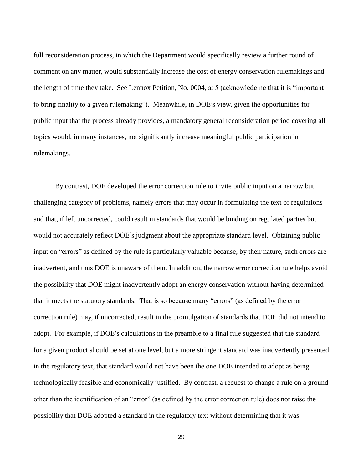the length of time they take. See Lennox Petition, No. 0004, at 5 (acknowledging that it is "important public input that the process already provides, a mandatory general reconsideration period covering all full reconsideration process, in which the Department would specifically review a further round of comment on any matter, would substantially increase the cost of energy conservation rulemakings and to bring finality to a given rulemaking"). Meanwhile, in DOE's view, given the opportunities for topics would, in many instances, not significantly increase meaningful public participation in rulemakings.

 challenging category of problems, namely errors that may occur in formulating the text of regulations inadvertent, and thus DOE is unaware of them. In addition, the narrow error correction rule helps avoid that it meets the statutory standards. That is so because many "errors" (as defined by the error adopt. For example, if DOE's calculations in the preamble to a final rule suggested that the standard technologically feasible and economically justified. By contrast, a request to change a rule on a ground By contrast, DOE developed the error correction rule to invite public input on a narrow but and that, if left uncorrected, could result in standards that would be binding on regulated parties but would not accurately reflect DOE's judgment about the appropriate standard level. Obtaining public input on "errors" as defined by the rule is particularly valuable because, by their nature, such errors are the possibility that DOE might inadvertently adopt an energy conservation without having determined correction rule) may, if uncorrected, result in the promulgation of standards that DOE did not intend to for a given product should be set at one level, but a more stringent standard was inadvertently presented in the regulatory text, that standard would not have been the one DOE intended to adopt as being other than the identification of an "error" (as defined by the error correction rule) does not raise the possibility that DOE adopted a standard in the regulatory text without determining that it was

29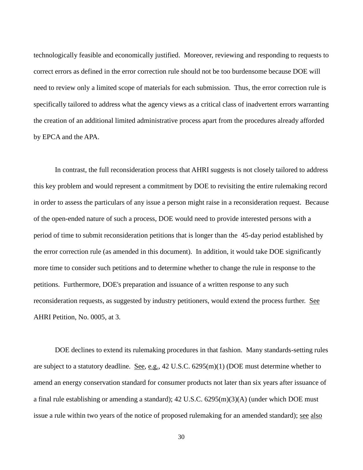technologically feasible and economically justified. Moreover, reviewing and responding to requests to correct errors as defined in the error correction rule should not be too burdensome because DOE will need to review only a limited scope of materials for each submission. Thus, the error correction rule is specifically tailored to address what the agency views as a critical class of inadvertent errors warranting the creation of an additional limited administrative process apart from the procedures already afforded by EPCA and the APA.

 in order to assess the particulars of any issue a person might raise in a reconsideration request. Because of the open-ended nature of such a process, DOE would need to provide interested persons with a period of time to submit reconsideration petitions that is longer than the 45-day period established by AHRI Petition, No. 0005, at 3. In contrast, the full reconsideration process that AHRI suggests is not closely tailored to address this key problem and would represent a commitment by DOE to revisiting the entire rulemaking record the error correction rule (as amended in this document). In addition, it would take DOE significantly more time to consider such petitions and to determine whether to change the rule in response to the petitions. Furthermore, DOE's preparation and issuance of a written response to any such reconsideration requests, as suggested by industry petitioners, would extend the process further. See

 DOE declines to extend its rulemaking procedures in that fashion. Many standards-setting rules issue a rule within two years of the notice of proposed rulemaking for an amended standard); see also are subject to a statutory deadline. See, e.g., 42 U.S.C. 6295(m)(1) (DOE must determine whether to amend an energy conservation standard for consumer products not later than six years after issuance of a final rule establishing or amending a standard); 42 U.S.C. 6295(m)(3)(A) (under which DOE must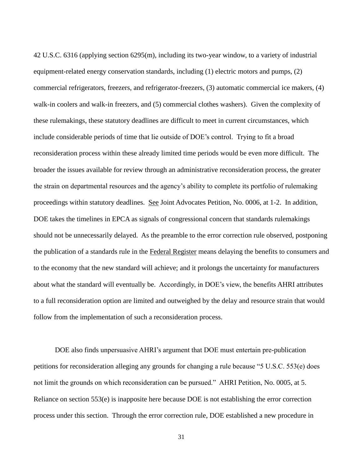reconsideration process within these already limited time periods would be even more difficult. The proceedings within statutory deadlines. See Joint Advocates Petition, No. 0006, at 1-2. In addition, about what the standard will eventually be. Accordingly, in DOE's view, the benefits AHRI attributes to a full reconsideration option are limited and outweighed by the delay and resource strain that would follow from the implementation of such a reconsideration process. 42 U.S.C. 6316 (applying section 6295(m), including its two-year window, to a variety of industrial equipment-related energy conservation standards, including (1) electric motors and pumps, (2) commercial refrigerators, freezers, and refrigerator-freezers, (3) automatic commercial ice makers, (4) walk-in coolers and walk-in freezers, and (5) commercial clothes washers). Given the complexity of these rulemakings, these statutory deadlines are difficult to meet in current circumstances, which include considerable periods of time that lie outside of DOE's control. Trying to fit a broad broader the issues available for review through an administrative reconsideration process, the greater the strain on departmental resources and the agency's ability to complete its portfolio of rulemaking DOE takes the timelines in EPCA as signals of congressional concern that standards rulemakings should not be unnecessarily delayed. As the preamble to the error correction rule observed, postponing the publication of a standards rule in the Federal Register means delaying the benefits to consumers and to the economy that the new standard will achieve; and it prolongs the uncertainty for manufacturers

 not limit the grounds on which reconsideration can be pursued." AHRI Petition, No. 0005, at 5. DOE also finds unpersuasive AHRI's argument that DOE must entertain pre-publication petitions for reconsideration alleging any grounds for changing a rule because "5 U.S.C. 553(e) does Reliance on section 553(e) is inapposite here because DOE is not establishing the error correction process under this section. Through the error correction rule, DOE established a new procedure in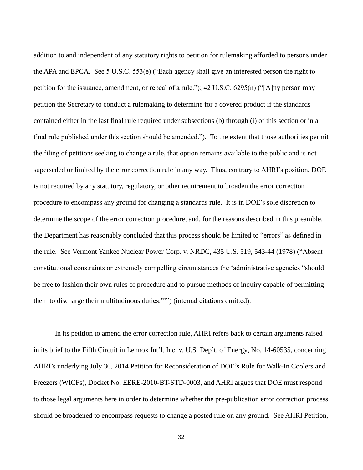the APA and EPCA. See 5 U.S.C. 553(e) ("Each agency shall give an interested person the right to final rule published under this section should be amended."). To the extent that those authorities permit the filing of petitions seeking to change a rule, that option remains available to the public and is not superseded or limited by the error correction rule in any way. Thus, contrary to AHRI's position, DOE procedure to encompass any ground for changing a standards rule. It is in DOE's sole discretion to the Department has reasonably concluded that this process should be limited to "errors" as defined in the rule. See Vermont Yankee Nuclear Power Corp. v. NRDC, 435 U.S. 519, 543-44 (1978) ("Absent addition to and independent of any statutory rights to petition for rulemaking afforded to persons under petition for the issuance, amendment, or repeal of a rule."); 42 U.S.C. 6295(n) ("[A]ny person may petition the Secretary to conduct a rulemaking to determine for a covered product if the standards contained either in the last final rule required under subsections (b) through (i) of this section or in a is not required by any statutory, regulatory, or other requirement to broaden the error correction determine the scope of the error correction procedure, and, for the reasons described in this preamble, constitutional constraints or extremely compelling circumstances the 'administrative agencies "should be free to fashion their own rules of procedure and to pursue methods of inquiry capable of permitting them to discharge their multitudinous duties."'") (internal citations omitted).

 Freezers (WICFs), Docket No. EERE-2010-BT-STD-0003, and AHRI argues that DOE must respond to those legal arguments here in order to determine whether the pre-publication error correction process In its petition to amend the error correction rule, AHRI refers back to certain arguments raised in its brief to the Fifth Circuit in Lennox Int'l, Inc. v. U.S. Dep't. of Energy, No. 14-60535, concerning AHRI's underlying July 30, 2014 Petition for Reconsideration of DOE's Rule for Walk-In Coolers and should be broadened to encompass requests to change a posted rule on any ground. See AHRI Petition,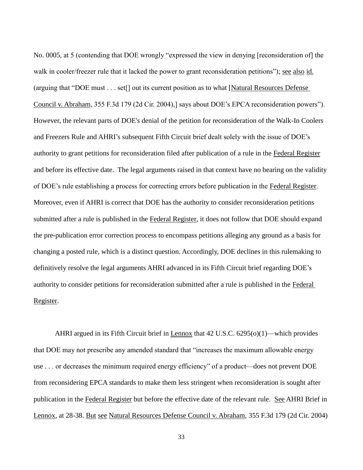walk in cooler/freezer rule that it lacked the power to grant reconsideration petitions"); see also id. and Freezers Rule and AHRI's subsequent Fifth Circuit brief dealt solely with the issue of DOE's Moreover, even if AHRI is correct that DOE has the authority to consider reconsideration petitions submitted after a rule is published in the Federal Register, it does not follow that DOE should expand changing a posted rule, which is a distinct question. Accordingly, DOE declines in this rulemaking to definitively resolve the legal arguments AHRI advanced in its Fifth Circuit brief regarding DOE's No. 0005, at 5 (contending that DOE wrongly "expressed the view in denying [reconsideration of] the (arguing that "DOE must . . . set[] out its current position as to what [Natural Resources Defense Council v. Abraham, 355 F.3d 179 (2d Cir. 2004),] says about DOE's EPCA reconsideration powers"). However, the relevant parts of DOE's denial of the petition for reconsideration of the Walk-In Coolers authority to grant petitions for reconsideration filed after publication of a rule in the Federal Register and before its effective date. The legal arguments raised in that context have no bearing on the validity of DOE's rule establishing a process for correcting errors before publication in the Federal Register. the pre-publication error correction process to encompass petitions alleging any ground as a basis for authority to consider petitions for reconsideration submitted after a rule is published in the Federal Register.

AHRI argued in its Fifth Circuit brief in Lennox that 42 U.S.C. 6295(o)(1)—which provides use . . . or decreases the minimum required energy efficiency" of a product—does not prevent DOE publication in the Federal Register but before the effective date of the relevant rule. See AHRI Brief in Lennox, at 28-38. But see Natural Resources Defense Council v. Abraham, 355 F.3d 179 (2d Cir. 2004) that DOE may not prescribe any amended standard that "increases the maximum allowable energy from reconsidering EPCA standards to make them less stringent when reconsideration is sought after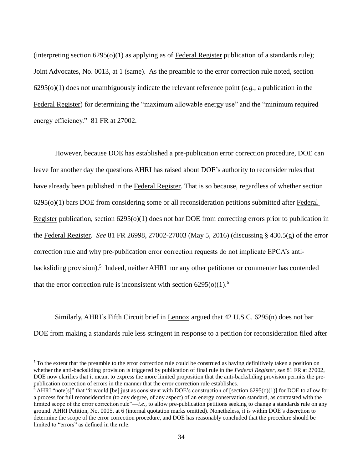Joint Advocates, No. 0013, at 1 (same). As the preamble to the error correction rule noted, section 6295(o)(1) does not unambiguously indicate the relevant reference point (*e.g.*, a publication in the energy efficiency." 81 FR at 27002. (interpreting section  $6295(0)(1)$  as applying as of Federal Register publication of a standards rule); Federal Register) for determining the "maximum allowable energy use" and the "minimum required

 However, because DOE has established a pre-publication error correction procedure, DOE can leave for another day the questions AHRI has raised about DOE's authority to reconsider rules that the Federal Register. *See* 81 FR 26998, 27002-27003 (May 5, 2016) (discussing § 430.5(g) of the error backsliding provision).<sup>5</sup> Indeed, neither AHRI nor any other petitioner or commenter has contended have already been published in the Federal Register. That is so because, regardless of whether section 6295(o)(1) bars DOE from considering some or all reconsideration petitions submitted after Federal Register publication, section 6295(o)(1) does not bar DOE from correcting errors prior to publication in correction rule and why pre-publication error correction requests do not implicate EPCA's antithat the error correction rule is inconsistent with section  $6295(0)(1)$ .<sup>6</sup>

 DOE from making a standards rule less stringent in response to a petition for reconsideration filed after Similarly, AHRI's Fifth Circuit brief in Lennox argued that 42 U.S.C. 6295(n) does not bar

 $\overline{a}$ 

 $5$  To the extent that the preamble to the error correction rule could be construed as having definitively taken a position on whether the anti-backsliding provision is triggered by publication of final rule in the *Federal Register*, *see* 81 FR at 27002, DOE now clarifies that it meant to express the more limited proposition that the anti-backsliding provision permits the pre-publication correction of errors in the manner that the error correction rule establishes.

 $6$  AHRI "note[s]" that "it would [be] just as consistent with DOE's construction of [section 6295(o)(1)] for DOE to allow for a process for full reconsideration (to any degree, of any aspect) of an energy conservation standard, as contrasted with the limited scope of the error correction rule"—*i.e*., to allow pre-publication petitions seeking to change a standards rule on any ground. AHRI Petition, No. 0005, at 6 (internal quotation marks omitted). Nonetheless, it is within DOE's discretion to determine the scope of the error correction procedure, and DOE has reasonably concluded that the procedure should be limited to "errors" as defined in the rule.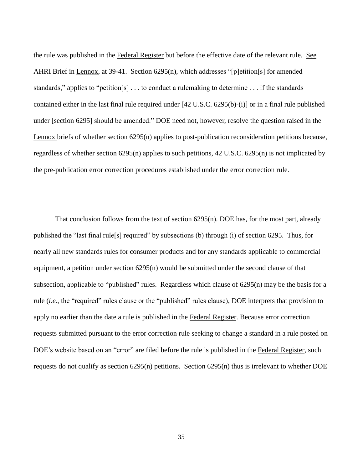the rule was published in the Federal Register but before the effective date of the relevant rule. See the pre-publication error correction procedures established under the error correction rule. AHRI Brief in Lennox, at 39-41. Section 6295(n), which addresses "[p]etition[s] for amended standards," applies to "petition[s] . . . to conduct a rulemaking to determine . . . if the standards contained either in the last final rule required under [42 U.S.C. 6295(b)-(i)] or in a final rule published under [section 6295] should be amended." DOE need not, however, resolve the question raised in the Lennox briefs of whether section 6295(n) applies to post-publication reconsideration petitions because, regardless of whether section 6295(n) applies to such petitions, 42 U.S.C. 6295(n) is not implicated by

 published the "last final rule[s] required" by subsections (b) through (i) of section 6295. Thus, for requests submitted pursuant to the error correction rule seeking to change a standard in a rule posted on requests do not qualify as section 6295(n) petitions. Section 6295(n) thus is irrelevant to whether DOE That conclusion follows from the text of section  $6295(n)$ . DOE has, for the most part, already nearly all new standards rules for consumer products and for any standards applicable to commercial equipment, a petition under section 6295(n) would be submitted under the second clause of that subsection, applicable to "published" rules. Regardless which clause of 6295(n) may be the basis for a rule (*i.e.*, the "required" rules clause or the "published" rules clause), DOE interprets that provision to apply no earlier than the date a rule is published in the Federal Register. Because error correction DOE's website based on an "error" are filed before the rule is published in the Federal Register, such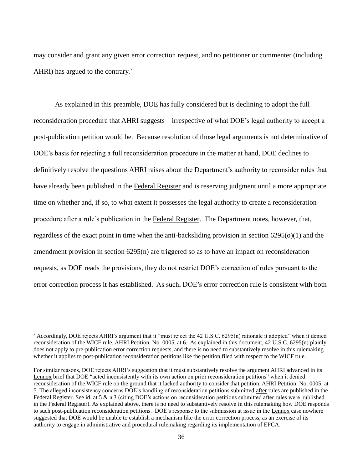AHRI) has argued to the contrary.<sup>7</sup> may consider and grant any given error correction request, and no petitioner or commenter (including

 reconsideration procedure that AHRI suggests – irrespective of what DOE's legal authority to accept a post-publication petition would be. Because resolution of those legal arguments is not determinative of procedure after a rule's publication in the Federal Register. The Department notes, however, that, amendment provision in section 6295(n) are triggered so as to have an impact on reconsideration As explained in this preamble, DOE has fully considered but is declining to adopt the full DOE's basis for rejecting a full reconsideration procedure in the matter at hand, DOE declines to definitively resolve the questions AHRI raises about the Department's authority to reconsider rules that have already been published in the Federal Register and is reserving judgment until a more appropriate time on whether and, if so, to what extent it possesses the legal authority to create a reconsideration regardless of the exact point in time when the anti-backsliding provision in section 6295(o)(1) and the requests, as DOE reads the provisions, they do not restrict DOE's correction of rules pursuant to the error correction process it has established. As such, DOE's error correction rule is consistent with both

 $\overline{a}$ 

 $7$  Accordingly, DOE rejects AHRI's argument that it "must reject the 42 U.S.C. 6295(n) rationale it adopted" when it denied reconsideration of the WICF rule. AHRI Petition, No. 0005, at 6. As explained in this document, 42 U.S.C. 6295(n) plainly does not apply to pre-publication error correction requests, and there is no need to substantively resolve in this rulemaking whether it applies to post-publication reconsideration petitions like the petition filed with respect to the WICF rule.

 For similar reasons, DOE rejects AHRI's suggestion that it must substantively resolve the argument AHRI advanced in its Lennox brief that DOE "acted inconsistently with its own action on prior reconsideration petitions" when it denied reconsideration of the WICF rule on the ground that it lacked authority to consider that petition. AHRI Petition, No. 0005, at 5. The alleged inconsistency concerns DOE's handling of reconsideration petitions submitted after rules are published in the Federal Register. See id. at 5  $\&$  n.3 (citing DOE's actions on reconsideration petitions submitted after rules were published in the Federal Register). As explained above, there is no need to substantively resolve in this rulemaking how DOE responds to such post-publication reconsideration petitions. DOE's response to the submission at issue in the Lennox case nowhere suggested that DOE would be unable to establish a mechanism like the error correction process, as an exercise of its authority to engage in administrative and procedural rulemaking regarding its implementation of EPCA.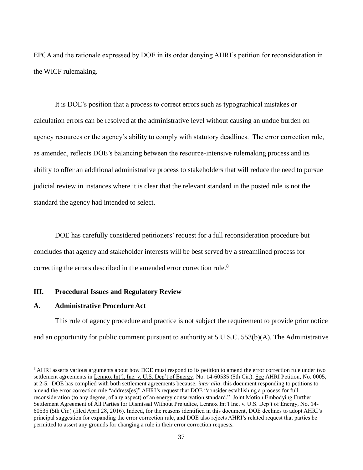the WICF rulemaking. EPCA and the rationale expressed by DOE in its order denying AHRI's petition for reconsideration in

It is DOE's position that a process to correct errors such as typographical mistakes or calculation errors can be resolved at the administrative level without causing an undue burden on agency resources or the agency's ability to comply with statutory deadlines. The error correction rule, as amended, reflects DOE's balancing between the resource-intensive rulemaking process and its ability to offer an additional administrative process to stakeholders that will reduce the need to pursue judicial review in instances where it is clear that the relevant standard in the posted rule is not the standard the agency had intended to select.

correcting the errors described in the amended error correction rule.<sup>8</sup> DOE has carefully considered petitioners' request for a full reconsideration procedure but concludes that agency and stakeholder interests will be best served by a streamlined process for

# **III. Procedural Issues and Regulatory Review**

#### **A. Administrative Procedure Act**

 $\overline{a}$ 

 and an opportunity for public comment pursuant to authority at 5 U.S.C. 553(b)(A). The Administrative This rule of agency procedure and practice is not subject the requirement to provide prior notice

<sup>&</sup>lt;sup>8</sup> AHRI asserts various arguments about how DOE must respond to its petition to amend the error correction rule under two settlement agreements in Lennox Int'l, Inc. v. U.S. Dep't of Energy, No. 14-60535 (5th Cir.). See AHRI Petition, No. 0005, at 2-5. DOE has complied with both settlement agreements because, *inter alia*, this document responding to petitions to amend the error correction rule "address[es]" AHRI's request that DOE "consider establishing a process for full reconsideration (to any degree, of any aspect) of an energy conservation standard." Joint Motion Embodying Further Settlement Agreement of All Parties for Dismissal Without Prejudice, Lennox Int'l Inc. v. U.S. Dep't of Energy, No. 14- 60535 (5th Cir.) (filed April 28, 2016). Indeed, for the reasons identified in this document, DOE declines to adopt AHRI's principal suggestion for expanding the error correction rule, and DOE also rejects AHRI's related request that parties be permitted to assert any grounds for changing a rule in their error correction requests.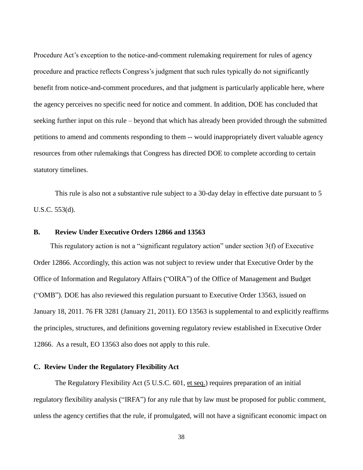Procedure Act's exception to the notice-and-comment rulemaking requirement for rules of agency seeking further input on this rule – beyond that which has already been provided through the submitted petitions to amend and comments responding to them -- would inappropriately divert valuable agency procedure and practice reflects Congress's judgment that such rules typically do not significantly benefit from notice-and-comment procedures, and that judgment is particularly applicable here, where the agency perceives no specific need for notice and comment. In addition, DOE has concluded that resources from other rulemakings that Congress has directed DOE to complete according to certain statutory timelines.

 U.S.C. 553(d). This rule is also not a substantive rule subject to a 30-day delay in effective date pursuant to 5

# **B. Review Under Executive Orders 12866 and 13563**

 12866. As a result, EO 13563 also does not apply to this rule. This regulatory action is not a "significant regulatory action" under section 3(f) of Executive Order 12866. Accordingly, this action was not subject to review under that Executive Order by the Office of Information and Regulatory Affairs ("OIRA") of the Office of Management and Budget ("OMB"). DOE has also reviewed this regulation pursuant to Executive Order 13563, issued on January 18, 2011. 76 FR 3281 (January 21, 2011). EO 13563 is supplemental to and explicitly reaffirms the principles, structures, and definitions governing regulatory review established in Executive Order

## **C. Review Under the Regulatory Flexibility Act**

The Regulatory Flexibility Act (5 U.S.C. 601, et seq.) requires preparation of an initial regulatory flexibility analysis ("IRFA") for any rule that by law must be proposed for public comment, unless the agency certifies that the rule, if promulgated, will not have a significant economic impact on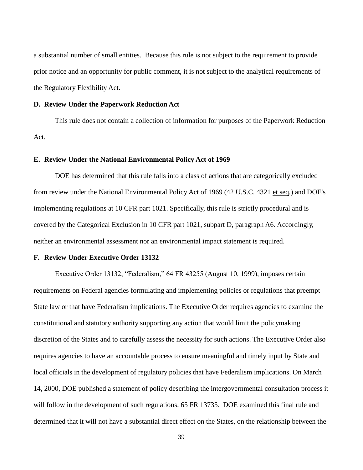the Regulatory Flexibility Act. a substantial number of small entities. Because this rule is not subject to the requirement to provide prior notice and an opportunity for public comment, it is not subject to the analytical requirements of

### **D. Review Under the Paperwork Reduction Act**

 Act. This rule does not contain a collection of information for purposes of the Paperwork Reduction

#### **E. Review Under the National Environmental Policy Act of 1969**

DOE has determined that this rule falls into a class of actions that are categorically excluded from review under the National Environmental Policy Act of 1969 (42 U.S.C. 4321 et seq*.*) and DOE's implementing regulations at 10 CFR part 1021. Specifically, this rule is strictly procedural and is covered by the Categorical Exclusion in 10 CFR part 1021, subpart D, paragraph A6. Accordingly, neither an environmental assessment nor an environmental impact statement is required.

#### **F. Review Under Executive Order 13132**

Executive Order 13132, "Federalism," 64 FR 43255 (August 10, 1999), imposes certain requirements on Federal agencies formulating and implementing policies or regulations that preempt State law or that have Federalism implications. The Executive Order requires agencies to examine the constitutional and statutory authority supporting any action that would limit the policymaking discretion of the States and to carefully assess the necessity for such actions. The Executive Order also requires agencies to have an accountable process to ensure meaningful and timely input by State and local officials in the development of regulatory policies that have Federalism implications. On March 14, 2000, DOE published a statement of policy describing the intergovernmental consultation process it will follow in the development of such regulations. 65 FR 13735. DOE examined this final rule and determined that it will not have a substantial direct effect on the States, on the relationship between the

39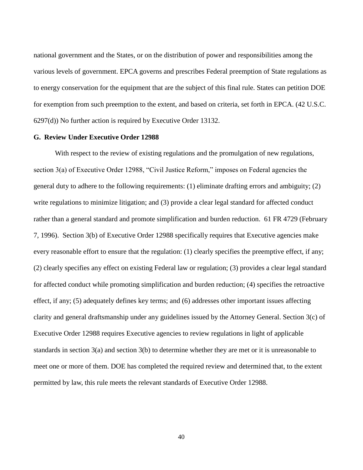6297(d)) No further action is required by Executive Order 13132. national government and the States, or on the distribution of power and responsibilities among the various levels of government. EPCA governs and prescribes Federal preemption of State regulations as to energy conservation for the equipment that are the subject of this final rule. States can petition DOE for exemption from such preemption to the extent, and based on criteria, set forth in EPCA. (42 U.S.C.

# **G. Review Under Executive Order 12988**

 effect, if any; (5) adequately defines key terms; and (6) addresses other important issues affecting clarity and general draftsmanship under any guidelines issued by the Attorney General. Section 3(c) of With respect to the review of existing regulations and the promulgation of new regulations, section 3(a) of Executive Order 12988, "Civil Justice Reform," imposes on Federal agencies the general duty to adhere to the following requirements: (1) eliminate drafting errors and ambiguity; (2) write regulations to minimize litigation; and (3) provide a clear legal standard for affected conduct rather than a general standard and promote simplification and burden reduction. 61 FR 4729 (February 7, 1996). Section 3(b) of Executive Order 12988 specifically requires that Executive agencies make every reasonable effort to ensure that the regulation: (1) clearly specifies the preemptive effect, if any; (2) clearly specifies any effect on existing Federal law or regulation; (3) provides a clear legal standard for affected conduct while promoting simplification and burden reduction; (4) specifies the retroactive Executive Order 12988 requires Executive agencies to review regulations in light of applicable standards in section 3(a) and section 3(b) to determine whether they are met or it is unreasonable to meet one or more of them. DOE has completed the required review and determined that, to the extent permitted by law, this rule meets the relevant standards of Executive Order 12988.

40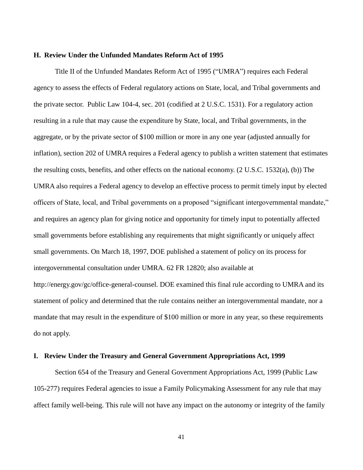#### **H. Review Under the Unfunded Mandates Reform Act of 1995**

 the private sector. Public Law 104-4, sec. 201 (codified at 2 U.S.C. 1531). For a regulatory action aggregate, or by the private sector of \$100 million or more in any one year (adjusted annually for the resulting costs, benefits, and other effects on the national economy. (2 U.S.C. 1532(a), (b)) The do not apply. Title II of the Unfunded Mandates Reform Act of 1995 ("UMRA") requires each Federal agency to assess the effects of Federal regulatory actions on State, local, and Tribal governments and resulting in a rule that may cause the expenditure by State, local, and Tribal governments, in the inflation), section 202 of UMRA requires a Federal agency to publish a written statement that estimates UMRA also requires a Federal agency to develop an effective process to permit timely input by elected officers of State, local, and Tribal governments on a proposed "significant intergovernmental mandate," and requires an agency plan for giving notice and opportunity for timely input to potentially affected small governments before establishing any requirements that might significantly or uniquely affect small governments. On March 18, 1997, DOE published a statement of policy on its process for intergovernmental consultation under UMRA. 62 FR 12820; also available at http://energy.gov/gc/office-general-counsel. DOE examined this final rule according to UMRA and its statement of policy and determined that the rule contains neither an intergovernmental mandate, nor a mandate that may result in the expenditure of \$100 million or more in any year, so these requirements

#### **I. Review Under the Treasury and General Government Appropriations Act, 1999**

 affect family well-being. This rule will not have any impact on the autonomy or integrity of the family Section 654 of the Treasury and General Government Appropriations Act, 1999 (Public Law 105-277) requires Federal agencies to issue a Family Policymaking Assessment for any rule that may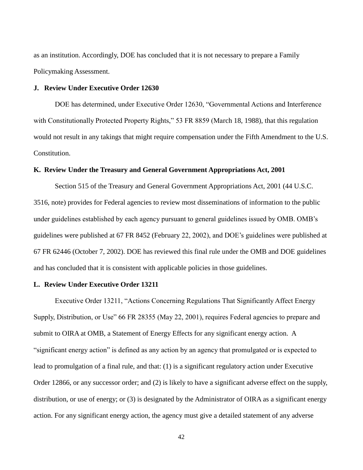as an institution. Accordingly, DOE has concluded that it is not necessary to prepare a Family Policymaking Assessment.

# **J. Review Under Executive Order 12630**

 Constitution. DOE has determined, under Executive Order 12630, "Governmental Actions and Interference with Constitutionally Protected Property Rights," 53 FR 8859 (March 18, 1988), that this regulation would not result in any takings that might require compensation under the Fifth Amendment to the U.S.

# **K. Review Under the Treasury and General Government Appropriations Act, 2001**

 and has concluded that it is consistent with applicable policies in those guidelines. Section 515 of the Treasury and General Government Appropriations Act, 2001 (44 U.S.C. 3516, note) provides for Federal agencies to review most disseminations of information to the public under guidelines established by each agency pursuant to general guidelines issued by OMB. OMB's guidelines were published at 67 FR 8452 (February 22, 2002), and DOE's guidelines were published at 67 FR 62446 (October 7, 2002). DOE has reviewed this final rule under the OMB and DOE guidelines

### **L. Review Under Executive Order 13211**

 submit to OIRA at OMB, a Statement of Energy Effects for any significant energy action. A action. For any significant energy action, the agency must give a detailed statement of any adverse Executive Order 13211, "Actions Concerning Regulations That Significantly Affect Energy Supply, Distribution, or Use" 66 FR 28355 (May 22, 2001), requires Federal agencies to prepare and "significant energy action" is defined as any action by an agency that promulgated or is expected to lead to promulgation of a final rule, and that: (1) is a significant regulatory action under Executive Order 12866, or any successor order; and (2) is likely to have a significant adverse effect on the supply, distribution, or use of energy; or (3) is designated by the Administrator of OIRA as a significant energy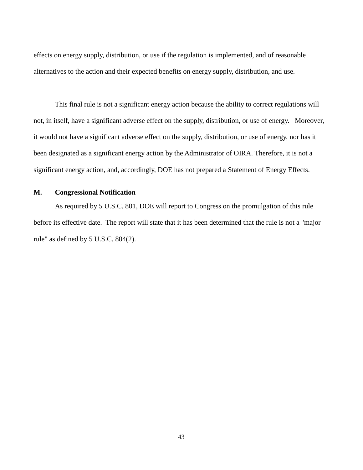effects on energy supply, distribution, or use if the regulation is implemented, and of reasonable alternatives to the action and their expected benefits on energy supply, distribution, and use.

 significant energy action, and, accordingly, DOE has not prepared a Statement of Energy Effects. This final rule is not a significant energy action because the ability to correct regulations will not, in itself, have a significant adverse effect on the supply, distribution, or use of energy. Moreover, it would not have a significant adverse effect on the supply, distribution, or use of energy, nor has it been designated as a significant energy action by the Administrator of OIRA. Therefore, it is not a

# **M. Congressional Notification**

 before its effective date. The report will state that it has been determined that the rule is not a "major As required by 5 U.S.C. 801, DOE will report to Congress on the promulgation of this rule rule" as defined by 5 U.S.C. 804(2).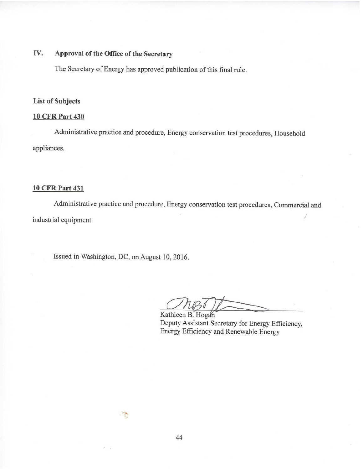#### IV. Approval of the Office of the Secretary

The Secretary of Energy has approved publication of this final rule.

# **List of Subjects**

# **10 CFR Part 430**

Administrative practice and procedure, Energy conservation test procedures, Household appliances.

#### **10 CFR Part 431**

Administrative practice and procedure, Energy conservation test procedures, Commercial and industrial equipment

Issued in Washington, DC, on August 10, 2016.

Kathleen B. Hogan Deputy Assistant Secretary for Energy Efficiency, Energy Efficiency and Renewable Energy

44

 $\mathbb{Z}$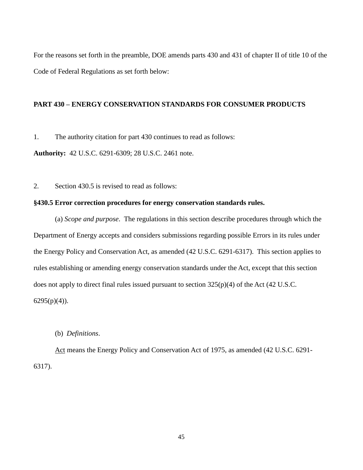For the reasons set forth in the preamble, DOE amends parts 430 and 431 of chapter II of title 10 of the Code of Federal Regulations as set forth below:

# **PART 430 – ENERGY CONSERVATION STANDARDS FOR CONSUMER PRODUCTS**

1. The authority citation for part 430 continues to read as follows:

**Authority:** 42 U.S.C. 6291-6309; 28 U.S.C. 2461 note.

2. Section 430.5 is revised to read as follows:

### **§430.5 Error correction procedures for energy conservation standards rules.**

(a) *Scope and purpose*. The regulations in this section describe procedures through which the Department of Energy accepts and considers submissions regarding possible Errors in its rules under the Energy Policy and Conservation Act, as amended (42 U.S.C. 6291-6317). This section applies to rules establishing or amending energy conservation standards under the Act, except that this section does not apply to direct final rules issued pursuant to section 325(p)(4) of the Act (42 U.S.C.  $6295(p)(4)$ ).

# (b) *Definitions*.

Act means the Energy Policy and Conservation Act of 1975, as amended (42 U.S.C. 6291- 6317).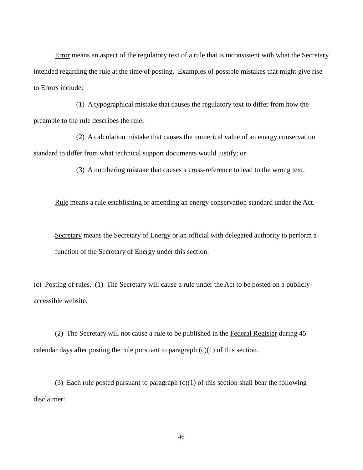Error means an aspect of the regulatory text of a rule that is inconsistent with what the Secretary intended regarding the rule at the time of posting. Examples of possible mistakes that might give rise to Errors include:

(1) A typographical mistake that causes the regulatory text to differ from how the preamble to the rule describes the rule;

(2) A calculation mistake that causes the numerical value of an energy conservation standard to differ from what technical support documents would justify; or

(3) A numbering mistake that causes a cross-reference to lead to the wrong text.

Rule means a rule establishing or amending an energy conservation standard under the Act.

Secretary means the Secretary of Energy or an official with delegated authority to perform a function of the Secretary of Energy under this section.

 (c) Posting of rules. (1) The Secretary will cause a rule under the Act to be posted on a publiclyaccessible website.

(2) The Secretary will not cause a rule to be published in the Federal Register during 45 calendar days after posting the rule pursuant to paragraph  $(c)(1)$  of this section.

(3) Each rule posted pursuant to paragraph  $(c)(1)$  of this section shall bear the following disclaimer: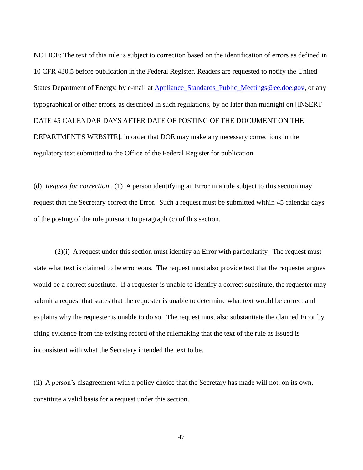States Department of Energy, by e-mail at **Appliance Standards Public Meetings@ee.doe.gov**, of any DATE 45 CALENDAR DAYS AFTER DATE OF POSTING OF THE DOCUMENT ON THE NOTICE: The text of this rule is subject to correction based on the identification of errors as defined in 10 CFR 430.5 before publication in the Federal Register. Readers are requested to notify the United typographical or other errors, as described in such regulations, by no later than midnight on [INSERT DEPARTMENT'S WEBSITE], in order that DOE may make any necessary corrections in the regulatory text submitted to the Office of the Federal Register for publication.

 (d) *Request for correction*. (1) A person identifying an Error in a rule subject to this section may of the posting of the rule pursuant to paragraph (c) of this section. request that the Secretary correct the Error. Such a request must be submitted within 45 calendar days

(2)(i) A request under this section must identify an Error with particularity. The request must state what text is claimed to be erroneous. The request must also provide text that the requester argues would be a correct substitute. If a requester is unable to identify a correct substitute, the requester may submit a request that states that the requester is unable to determine what text would be correct and explains why the requester is unable to do so. The request must also substantiate the claimed Error by citing evidence from the existing record of the rulemaking that the text of the rule as issued is inconsistent with what the Secretary intended the text to be.

(ii) A person's disagreement with a policy choice that the Secretary has made will not, on its own, constitute a valid basis for a request under this section.

47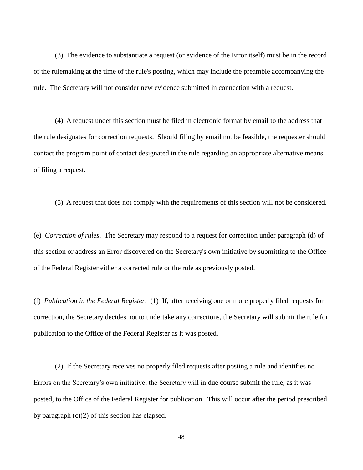(3) The evidence to substantiate a request (or evidence of the Error itself) must be in the record of the rulemaking at the time of the rule's posting, which may include the preamble accompanying the rule. The Secretary will not consider new evidence submitted in connection with a request.

 of filing a request. (4) A request under this section must be filed in electronic format by email to the address that the rule designates for correction requests. Should filing by email not be feasible, the requester should contact the program point of contact designated in the rule regarding an appropriate alternative means

(5) A request that does not comply with the requirements of this section will not be considered.

(e) *Correction of rules*. The Secretary may respond to a request for correction under paragraph (d) of this section or address an Error discovered on the Secretary's own initiative by submitting to the Office of the Federal Register either a corrected rule or the rule as previously posted.

 (f) *Publication in the Federal Register*. (1) If, after receiving one or more properly filed requests for correction, the Secretary decides not to undertake any corrections, the Secretary will submit the rule for publication to the Office of the Federal Register as it was posted.

(2) If the Secretary receives no properly filed requests after posting a rule and identifies no Errors on the Secretary's own initiative, the Secretary will in due course submit the rule, as it was posted, to the Office of the Federal Register for publication. This will occur after the period prescribed by paragraph (c)(2) of this section has elapsed.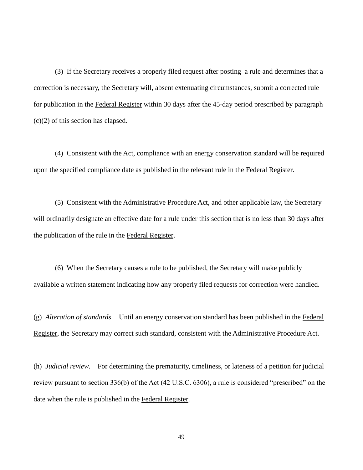(3) If the Secretary receives a properly filed request after posting a rule and determines that a for publication in the Federal Register within 30 days after the 45-day period prescribed by paragraph (c)(2) of this section has elapsed. correction is necessary, the Secretary will, absent extenuating circumstances, submit a corrected rule

(4) Consistent with the Act, compliance with an energy conservation standard will be required upon the specified compliance date as published in the relevant rule in the Federal Register.

the publication of the rule in the Federal Register. (5) Consistent with the Administrative Procedure Act, and other applicable law, the Secretary will ordinarily designate an effective date for a rule under this section that is no less than 30 days after

 $(6)$  When the Secretary causes a rule to be published, the Secretary will make publicly available a written statement indicating how any properly filed requests for correction were handled.

 (g) *Alteration of standards*. Until an energy conservation standard has been published in the Federal Register, the Secretary may correct such standard, consistent with the Administrative Procedure Act.

 (h) *Judicial review*. For determining the prematurity, timeliness, or lateness of a petition for judicial review pursuant to section 336(b) of the Act (42 U.S.C. 6306), a rule is considered "prescribed" on the date when the rule is published in the Federal Register.